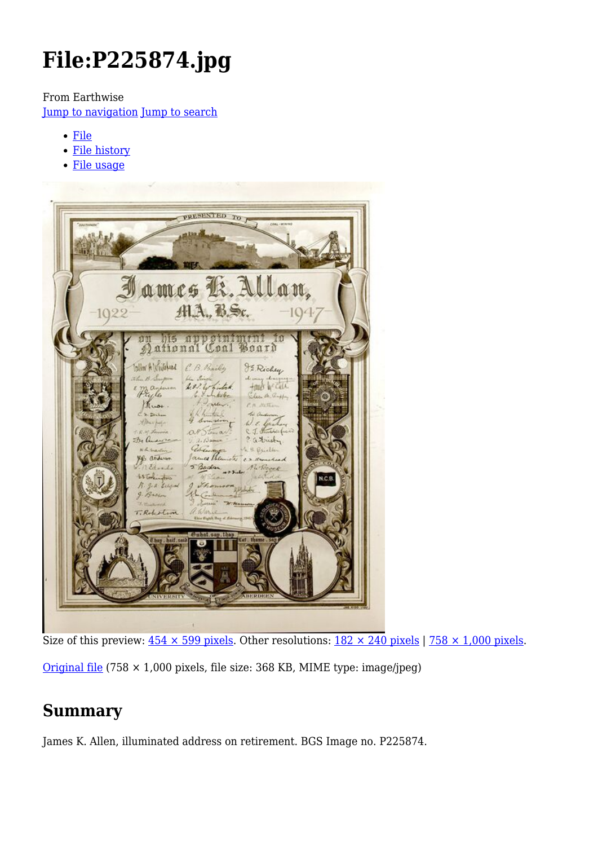# **File:P225874.jpg**

From Earthwise

[Jump to navigation](#page--1-0) [Jump to search](#page--1-0)

- [File](#page--1-0)
- [File history](#page--1-0)
- [File usage](#page--1-0)



Size of this preview:  $454 \times 599$  pixels. Other resolutions:  $182 \times 240$  pixels | 758  $\times$  1,000 pixels. [Original file](http://earthwise.bgs.ac.uk/images/3/37/P225874.jpg) (758  $\times$  1,000 pixels, file size: 368 KB, MIME type: image/jpeg)

# **Summary**

James K. Allen, illuminated address on retirement. BGS Image no. P225874.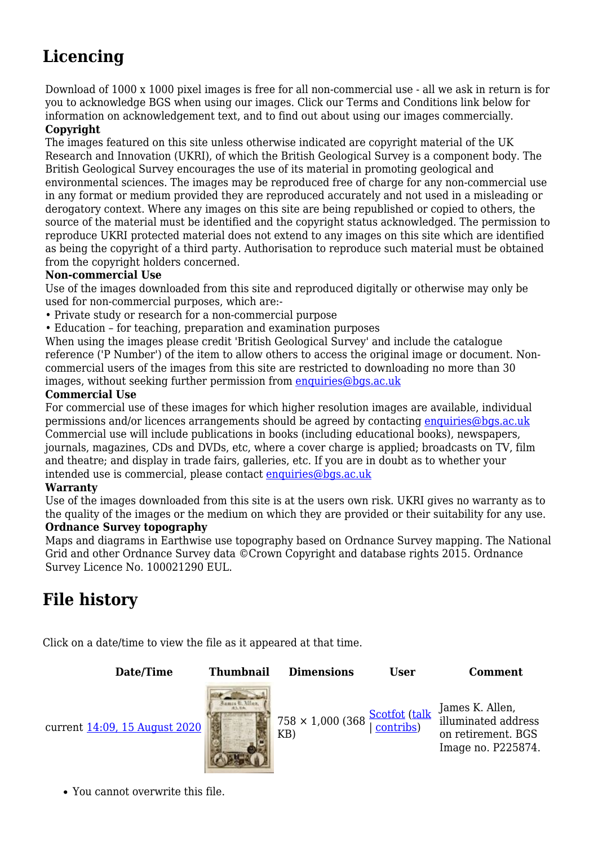# **Licencing**

Download of 1000 x 1000 pixel images is free for all non-commercial use - all we ask in return is for you to acknowledge BGS when using our images. Click our Terms and Conditions link below for information on acknowledgement text, and to find out about using our images commercially.

#### **Copyright**

The images featured on this site unless otherwise indicated are copyright material of the UK Research and Innovation (UKRI), of which the British Geological Survey is a component body. The British Geological Survey encourages the use of its material in promoting geological and environmental sciences. The images may be reproduced free of charge for any non-commercial use in any format or medium provided they are reproduced accurately and not used in a misleading or derogatory context. Where any images on this site are being republished or copied to others, the source of the material must be identified and the copyright status acknowledged. The permission to reproduce UKRI protected material does not extend to any images on this site which are identified as being the copyright of a third party. Authorisation to reproduce such material must be obtained from the copyright holders concerned.

#### **Non-commercial Use**

Use of the images downloaded from this site and reproduced digitally or otherwise may only be used for non-commercial purposes, which are:-

- Private study or research for a non-commercial purpose
- Education for teaching, preparation and examination purposes

When using the images please credit 'British Geological Survey' and include the catalogue reference ('P Number') of the item to allow others to access the original image or document. Noncommercial users of the images from this site are restricted to downloading no more than 30 images, without seeking further permission from [enquiries@bgs.ac.uk](mailto:enquiries@bgs.ac.uk)

#### **Commercial Use**

For commercial use of these images for which higher resolution images are available, individual permissions and/or licences arrangements should be agreed by contacting [enquiries@bgs.ac.uk](mailto:enquiries@bgs.ac.uk) Commercial use will include publications in books (including educational books), newspapers, journals, magazines, CDs and DVDs, etc, where a cover charge is applied; broadcasts on TV, film and theatre; and display in trade fairs, galleries, etc. If you are in doubt as to whether your intended use is commercial, please contact [enquiries@bgs.ac.uk](mailto:enquiries@bgs.ac.uk)

#### **Warranty**

Use of the images downloaded from this site is at the users own risk. UKRI gives no warranty as to the quality of the images or the medium on which they are provided or their suitability for any use.

#### **Ordnance Survey topography**

Maps and diagrams in Earthwise use topography based on Ordnance Survey mapping. The National Grid and other Ordnance Survey data ©Crown Copyright and database rights 2015. Ordnance Survey Licence No. 100021290 EUL.

## **File history**

Click on a date/time to view the file as it appeared at that time.

**Date/Time Thumbnail Dimensions User Comment** current [14:09, 15 August 2020](http://earthwise.bgs.ac.uk/images/3/37/P225874.jpg) KB) [Scotfot](http://earthwise.bgs.ac.uk/index.php/User:Scotfot) [\(talk](http://earthwise.bgs.ac.uk/index.php/User_talk:Scotfot) | [contribs](http://earthwise.bgs.ac.uk/index.php/Special:Contributions/Scotfot)) James K. Allen. illuminated address on retirement. BGS Image no. P225874.

You cannot overwrite this file.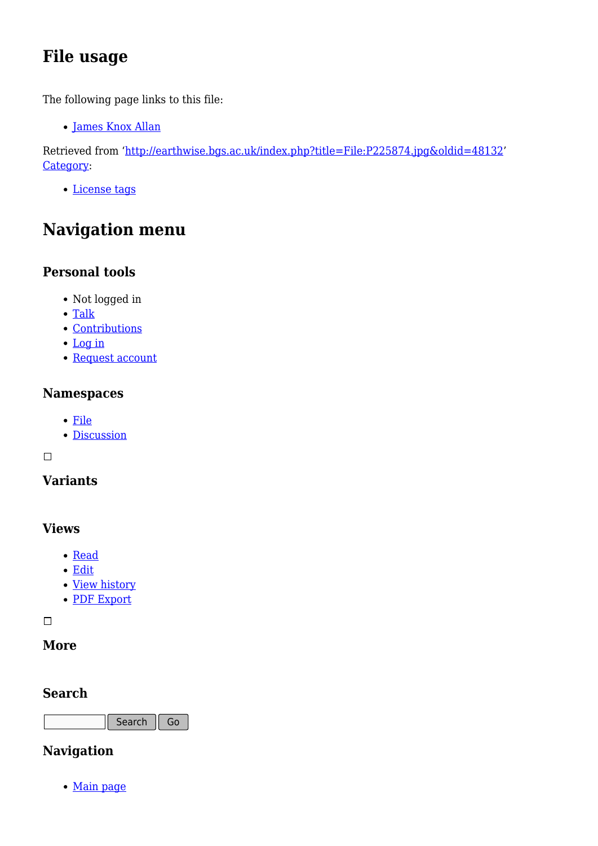# **File usage**

The following page links to this file:

[James Knox Allan](http://earthwise.bgs.ac.uk/index.php/James_Knox_Allan)

Retrieved from ['http://earthwise.bgs.ac.uk/index.php?title=File:P225874.jpg&oldid=48132](http://earthwise.bgs.ac.uk/index.php?title=File:P225874.jpg&oldid=48132)' [Category](http://earthwise.bgs.ac.uk/index.php/Special:Categories):

[License tags](http://earthwise.bgs.ac.uk/index.php/Category:License_tags)

# **Navigation menu**

### **Personal tools**

- Not logged in
- [Talk](http://earthwise.bgs.ac.uk/index.php/Special:MyTalk)
- [Contributions](http://earthwise.bgs.ac.uk/index.php/Special:MyContributions)
- [Log in](http://earthwise.bgs.ac.uk/index.php?title=Special:UserLogin&returnto=File%3AP225874.jpg&returntoquery=action%3Dmpdf)
- [Request account](http://earthwise.bgs.ac.uk/index.php/Special:RequestAccount)

### **Namespaces**

- [File](http://earthwise.bgs.ac.uk/index.php/File:P225874.jpg)
- [Discussion](http://earthwise.bgs.ac.uk/index.php?title=File_talk:P225874.jpg&action=edit&redlink=1)

 $\Box$ 

### **Variants**

### **Views**

- [Read](http://earthwise.bgs.ac.uk/index.php/File:P225874.jpg)
- [Edit](http://earthwise.bgs.ac.uk/index.php?title=File:P225874.jpg&action=edit)
- [View history](http://earthwise.bgs.ac.uk/index.php?title=File:P225874.jpg&action=history)
- [PDF Export](http://earthwise.bgs.ac.uk/index.php?title=File:P225874.jpg&action=mpdf)

 $\overline{\phantom{a}}$ 

### **More**

### **Search**

Search Go

### **Navigation**

• [Main page](http://earthwise.bgs.ac.uk/index.php/Main_Page)